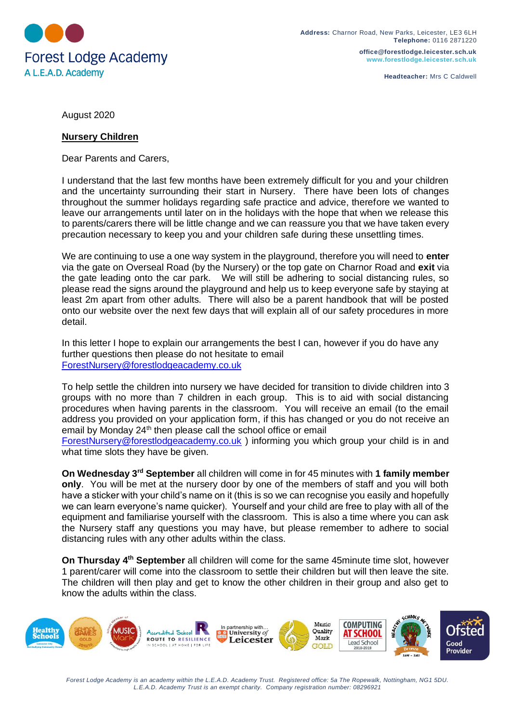

**office@forestlodge.leicester.sch.uk www.forestlodge.leicester.sch.uk**

**Headteacher:** Mrs C Caldwell

August 2020

## **Nursery Children**

Dear Parents and Carers,

I understand that the last few months have been extremely difficult for you and your children and the uncertainty surrounding their start in Nursery. There have been lots of changes throughout the summer holidays regarding safe practice and advice, therefore we wanted to leave our arrangements until later on in the holidays with the hope that when we release this to parents/carers there will be little change and we can reassure you that we have taken every precaution necessary to keep you and your children safe during these unsettling times.

We are continuing to use a one way system in the playground, therefore you will need to **enter** via the gate on Overseal Road (by the Nursery) or the top gate on Charnor Road and **exit** via the gate leading onto the car park. We will still be adhering to social distancing rules, so please read the signs around the playground and help us to keep everyone safe by staying at least 2m apart from other adults. There will also be a parent handbook that will be posted onto our website over the next few days that will explain all of our safety procedures in more detail.

In this letter I hope to explain our arrangements the best I can, however if you do have any further questions then please do not hesitate to email [ForestNursery@forestlodgeacademy.co.uk](mailto:ForestNursery@forestlodgeacademy.co.uk)

To help settle the children into nursery we have decided for transition to divide children into 3 groups with no more than 7 children in each group. This is to aid with social distancing procedures when having parents in the classroom. You will receive an email (to the email address you provided on your application form, if this has changed or you do not receive an email by Monday 24<sup>th</sup> then please call the school office or email [ForestNursery@forestlodgeacademy.co.uk](mailto:ForestNursery@forestlodgeacademy.co.uk) ) informing you which group your child is in and

what time slots they have be given.

**On Wednesday 3rd September** all children will come in for 45 minutes with **1 family member only**. You will be met at the nursery door by one of the members of staff and you will both have a sticker with your child's name on it (this is so we can recognise you easily and hopefully we can learn everyone's name quicker). Yourself and your child are free to play with all of the equipment and familiarise yourself with the classroom. This is also a time where you can ask the Nursery staff any questions you may have, but please remember to adhere to social distancing rules with any other adults within the class.

**On Thursday 4th September** all children will come for the same 45minute time slot, however 1 parent/carer will come into the classroom to settle their children but will then leave the site. The children will then play and get to know the other children in their group and also get to know the adults within the class.



*Forest Lodge Academy is an academy within the L.E.A.D. Academy Trust. Registered office: 5a The Ropewalk, Nottingham, NG1 5DU. L.E.A.D. Academy Trust is an exempt charity. Company registration number: 08296921*